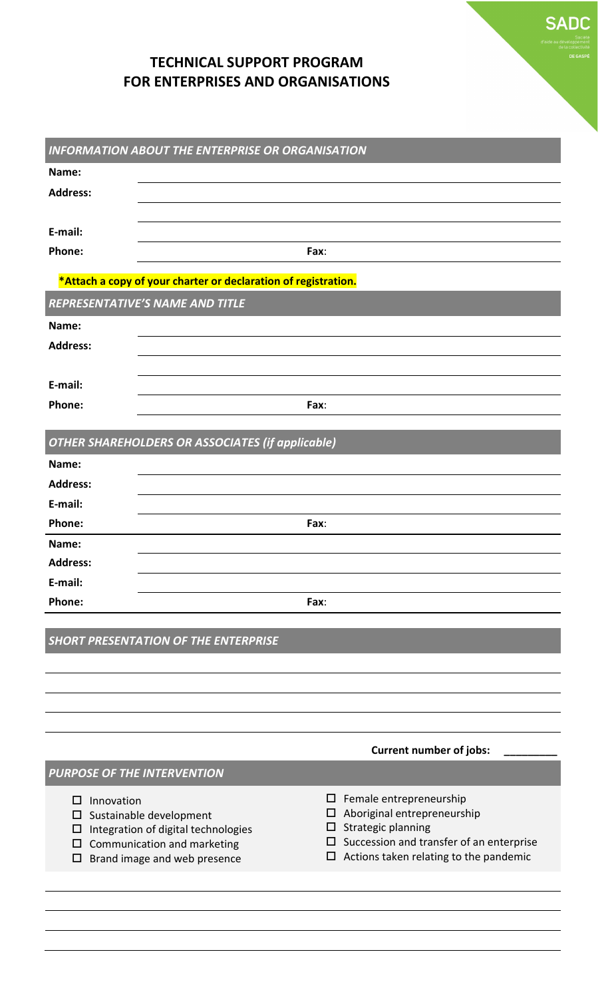## **TECHNICAL SUPPORT PROGRAM FOR ENTERPRISES AND ORGANISATIONS**

| <b>INFORMATION ABOUT THE ENTERPRISE OR ORGANISATION</b>        |                                                                    |                                                                     |  |  |  |
|----------------------------------------------------------------|--------------------------------------------------------------------|---------------------------------------------------------------------|--|--|--|
| Name:                                                          |                                                                    |                                                                     |  |  |  |
| <b>Address:</b>                                                |                                                                    |                                                                     |  |  |  |
|                                                                |                                                                    |                                                                     |  |  |  |
| E-mail:                                                        |                                                                    |                                                                     |  |  |  |
| Phone:                                                         |                                                                    | Fax:                                                                |  |  |  |
| *Attach a copy of your charter or declaration of registration. |                                                                    |                                                                     |  |  |  |
| <b>REPRESENTATIVE'S NAME AND TITLE</b>                         |                                                                    |                                                                     |  |  |  |
| Name:                                                          |                                                                    |                                                                     |  |  |  |
| <b>Address:</b>                                                |                                                                    |                                                                     |  |  |  |
|                                                                |                                                                    |                                                                     |  |  |  |
| E-mail:                                                        |                                                                    |                                                                     |  |  |  |
| Phone:                                                         |                                                                    | Fax:                                                                |  |  |  |
|                                                                |                                                                    |                                                                     |  |  |  |
|                                                                | <b>OTHER SHAREHOLDERS OR ASSOCIATES (if applicable)</b>            |                                                                     |  |  |  |
| Name:                                                          |                                                                    |                                                                     |  |  |  |
| <b>Address:</b>                                                |                                                                    |                                                                     |  |  |  |
| E-mail:                                                        |                                                                    |                                                                     |  |  |  |
| Phone:                                                         | Fax:                                                               |                                                                     |  |  |  |
| Name:                                                          |                                                                    |                                                                     |  |  |  |
| <b>Address:</b>                                                |                                                                    |                                                                     |  |  |  |
| E-mail:                                                        |                                                                    |                                                                     |  |  |  |
| Phone:                                                         |                                                                    | Fax:                                                                |  |  |  |
|                                                                |                                                                    |                                                                     |  |  |  |
|                                                                | <b>SHORT PRESENTATION OF THE ENTERPRISE</b>                        |                                                                     |  |  |  |
|                                                                |                                                                    |                                                                     |  |  |  |
|                                                                |                                                                    |                                                                     |  |  |  |
|                                                                |                                                                    |                                                                     |  |  |  |
|                                                                |                                                                    |                                                                     |  |  |  |
|                                                                | <b>Current number of jobs:</b>                                     |                                                                     |  |  |  |
| <b>PURPOSE OF THE INTERVENTION</b>                             |                                                                    |                                                                     |  |  |  |
| Innovation<br>□                                                |                                                                    | Female entrepreneurship<br>$\Box$                                   |  |  |  |
| □                                                              | Sustainable development                                            | Aboriginal entrepreneurship<br>ப                                    |  |  |  |
| □<br>□                                                         | Integration of digital technologies<br>Communication and marketing | Strategic planning<br>Succession and transfer of an enterprise<br>ப |  |  |  |
| □                                                              | Brand image and web presence                                       | Actions taken relating to the pandemic<br>⊔                         |  |  |  |
|                                                                |                                                                    |                                                                     |  |  |  |

**SADC**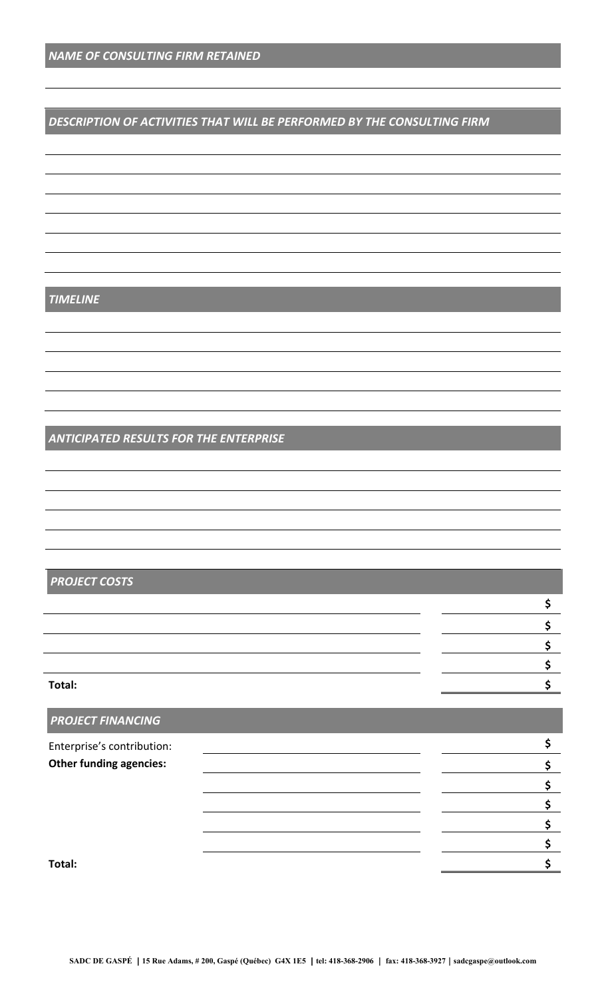#### *DESCRIPTION OF ACTIVITIES THAT WILL BE PERFORMED BY THE CONSULTING FIRM*

#### *TIMELINE*

#### *ANTICIPATED RESULTS FOR THE ENTERPRISE*

### *PROJECT COSTS*

| Total: |  |
|--------|--|

**\$ \$ \$**

**\$**

# *PROJECT FINANCING* Enterprise's contribution: **\$ Other funding agencies: \$**

#### **Total: \$**